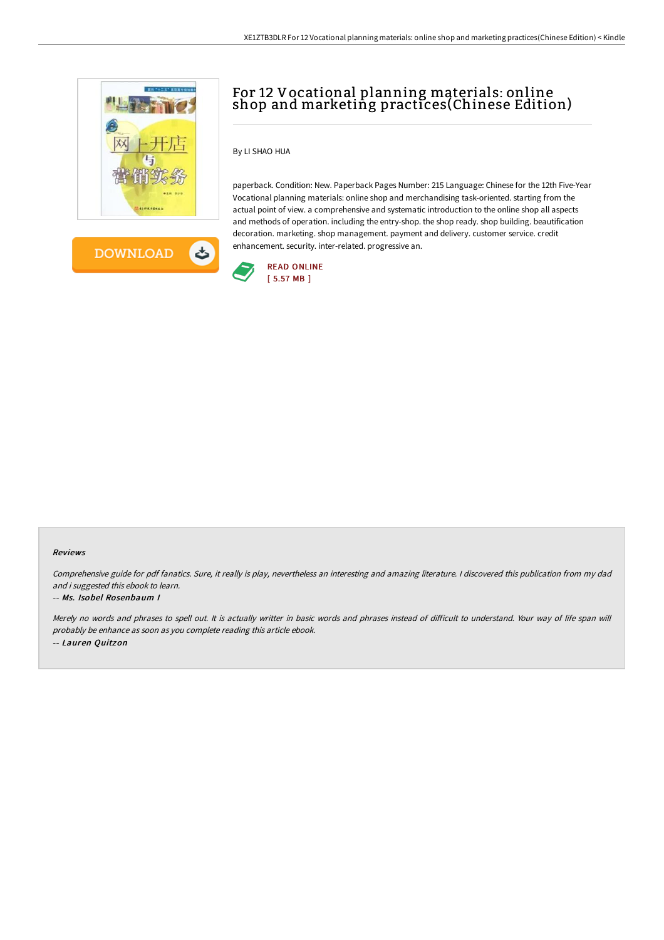



# For 12 Vocational planning materials: online shop and marketing practices(Chinese Edition)

## By LI SHAO HUA

paperback. Condition: New. Paperback Pages Number: 215 Language: Chinese for the 12th Five-Year Vocational planning materials: online shop and merchandising task-oriented. starting from the actual point of view. a comprehensive and systematic introduction to the online shop all aspects and methods of operation. including the entry-shop. the shop ready. shop building. beautification decoration. marketing. shop management. payment and delivery. customer service. credit enhancement. security. inter-related. progressive an.



#### Reviews

Comprehensive guide for pdf fanatics. Sure, it really is play, nevertheless an interesting and amazing literature. <sup>I</sup> discovered this publication from my dad and i suggested this ebook to learn.

#### -- Ms. Isobel Rosenbaum I

Merely no words and phrases to spell out. It is actually writter in basic words and phrases instead of difficult to understand. Your way of life span will probably be enhance as soon as you complete reading this article ebook. -- Lauren Quitzon